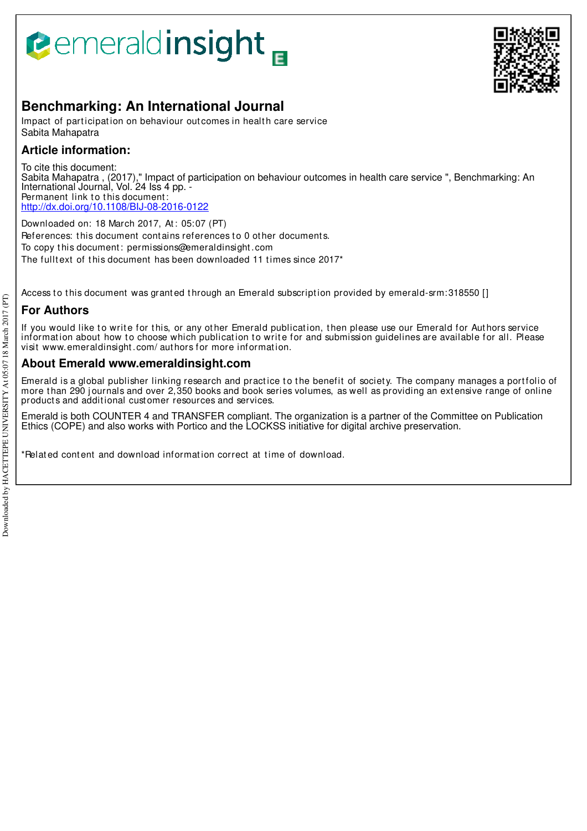# **Bemeraldinsight**



# **Benchmarking: An International Journal**

Impact of participation on behaviour out comes in health care service Sabita Mahapatra

# **Article information:**

To cite this document: Sabita Mahapatra , (2017)," Impact of participation on behaviour outcomes in health care service ", Benchmarking: An International Journal, Vol. 24 Iss 4 pp. - Permanent link to this document: http://dx.doi.org/10.1108/BIJ-08-2016-0122

Downloaded on: 18 March 2017, At : 05:07 (PT) References: this document contains references to 0 other documents. To copy t his document : permissions@emeraldinsight .com The fulltext of this document has been downloaded 11 times since 2017<sup>\*</sup>

Access to this document was granted through an Emerald subscription provided by emerald-srm:318550 []

# **For Authors**

If you would like to write for this, or any other Emerald publication, then please use our Emerald for Authors service information about how to choose which publication to write for and submission guidelines are available for all. Please visit www.emeraldinsight .com/ aut hors for more informat ion.

# **About Emerald www.emeraldinsight.com**

Emerald is a global publisher linking research and practice to the benefit of society. The company manages a portfolio of more than 290 journals and over 2,350 books and book series volumes, as well as providing an extensive range of online product s and addit ional cust omer resources and services.

Emerald is both COUNTER 4 and TRANSFER compliant. The organization is a partner of the Committee on Publication Ethics (COPE) and also works with Portico and the LOCKSS initiative for digital archive preservation.

\*Relat ed cont ent and download informat ion correct at t ime of download.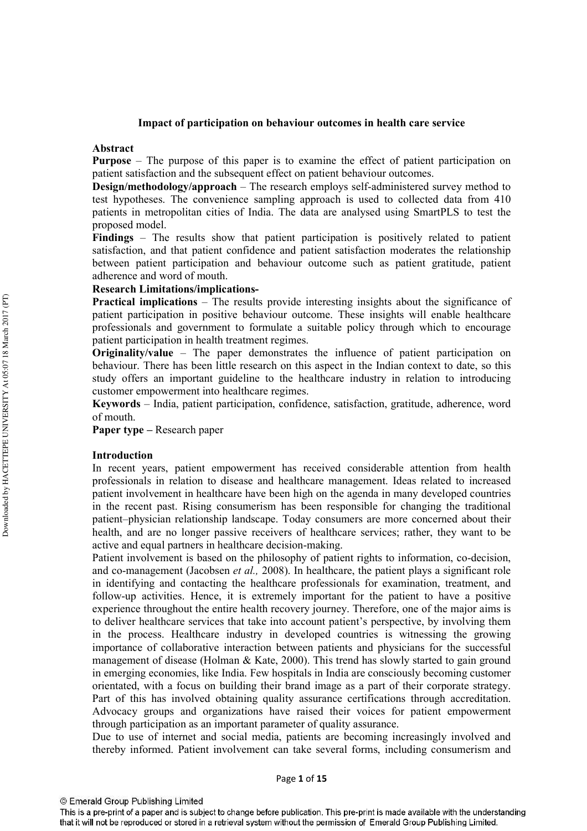# Impact of participation on behaviour outcomes in health care service

#### Abstract

**Purpose** – The purpose of this paper is to examine the effect of patient participation on patient satisfaction and the subsequent effect on patient behaviour outcomes.

Design/methodology/approach – The research employs self-administered survey method to test hypotheses. The convenience sampling approach is used to collected data from 410 patients in metropolitan cities of India. The data are analysed using SmartPLS to test the proposed model.

**Findings** – The results show that patient participation is positively related to patient satisfaction, and that patient confidence and patient satisfaction moderates the relationship between patient participation and behaviour outcome such as patient gratitude, patient adherence and word of mouth.

# **Research Limitations/implications-**

**Practical implications** – The results provide interesting insights about the significance of patient participation in positive behaviour outcome. These insights will enable healthcare professionals and government to formulate a suitable policy through which to encourage patient participation in health treatment regimes.

**Originality/value** – The paper demonstrates the influence of patient participation on behaviour. There has been little research on this aspect in the Indian context to date, so this study offers an important guideline to the healthcare industry in relation to introducing customer empowerment into healthcare regimes.

Keywords - India, patient participation, confidence, satisfaction, gratitude, adherence, word of mouth.

**Paper type – Research paper** 

#### **Introduction**

In recent years, patient empowerment has received considerable attention from health professionals in relation to disease and healthcare management. Ideas related to increased patient involvement in healthcare have been high on the agenda in many developed countries in the recent past. Rising consumerism has been responsible for changing the traditional patient-physician relationship landscape. Today consumers are more concerned about their health, and are no longer passive receivers of healthcare services; rather, they want to be active and equal partners in healthcare decision-making.

Patient involvement is based on the philosophy of patient rights to information, co-decision, and co-management (Jacobsen *et al.*, 2008). In healthcare, the patient plays a significant role in identifying and contacting the healthcare professionals for examination, treatment, and follow-up activities. Hence, it is extremely important for the patient to have a positive experience throughout the entire health recovery journey. Therefore, one of the major aims is to deliver healthcare services that take into account patient's perspective, by involving them in the process. Healthcare industry in developed countries is witnessing the growing importance of collaborative interaction between patients and physicians for the successful management of disease (Holman & Kate, 2000). This trend has slowly started to gain ground in emerging economies, like India. Few hospitals in India are consciously becoming customer orientated, with a focus on building their brand image as a part of their corporate strategy. Part of this has involved obtaining quality assurance certifications through accreditation. Advocacy groups and organizations have raised their voices for patient empowerment through participation as an important parameter of quality assurance.

Due to use of internet and social media, patients are becoming increasingly involved and thereby informed. Patient involvement can take several forms, including consumerism and

This is a pre-print of a paper and is subject to change before publication. This pre-print is made available with the understanding that it will not be reproduced or stored in a retrieval system without the permission of Emerald Group Publishing Limited.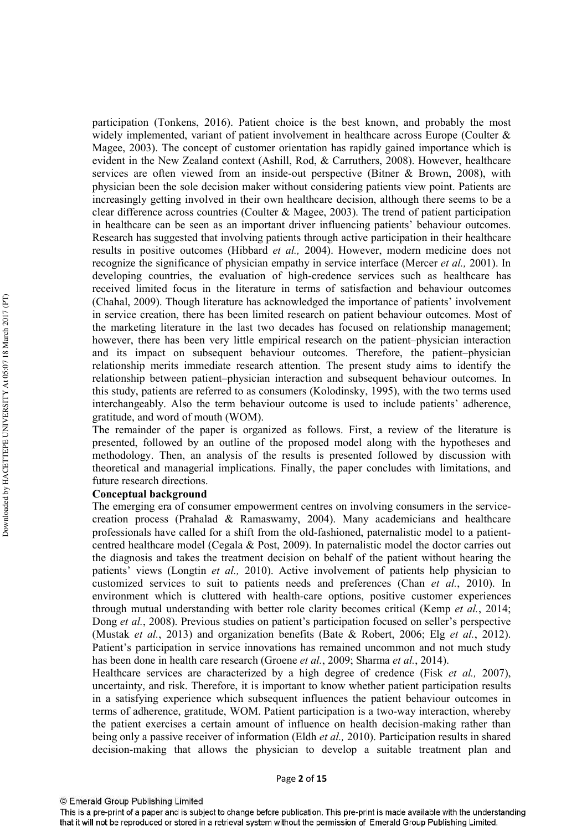participation (Tonkens, 2016). Patient choice is the best known, and probably the most widely implemented, variant of patient involvement in healthcare across Europe (Coulter  $\&$ Magee, 2003). The concept of customer orientation has rapidly gained importance which is evident in the New Zealand context (Ashill, Rod, & Carruthers, 2008). However, healthcare services are often viewed from an inside-out perspective (Bitner & Brown, 2008), with physician been the sole decision maker without considering patients view point. Patients are increasingly getting involved in their own healthcare decision, although there seems to be a clear difference across countries (Coulter & Magee, 2003). The trend of patient participation in healthcare can be seen as an important driver influencing patients' behaviour outcomes. Research has suggested that involving patients through active participation in their healthcare results in positive outcomes (Hibbard et al., 2004). However, modern medicine does not recognize the significance of physician empathy in service interface (Mercer et al., 2001). In developing countries, the evaluation of high-credence services such as healthcare has received limited focus in the literature in terms of satisfaction and behaviour outcomes (Chahal, 2009). Though literature has acknowledged the importance of patients' involvement in service creation, there has been limited research on patient behaviour outcomes. Most of the marketing literature in the last two decades has focused on relationship management; however, there has been very little empirical research on the patient-physician interaction and its impact on subsequent behaviour outcomes. Therefore, the patient-physician relationship merits immediate research attention. The present study aims to identify the relationship between patient-physician interaction and subsequent behaviour outcomes. In this study, patients are referred to as consumers (Kolodinsky, 1995), with the two terms used interchangeably. Also the term behaviour outcome is used to include patients' adherence, gratitude, and word of mouth (WOM).

The remainder of the paper is organized as follows. First, a review of the literature is presented, followed by an outline of the proposed model along with the hypotheses and methodology. Then, an analysis of the results is presented followed by discussion with theoretical and managerial implications. Finally, the paper concludes with limitations, and future research directions.

#### **Conceptual background**

The emerging era of consumer empowerment centres on involving consumers in the servicecreation process (Prahalad & Ramaswamy, 2004). Many academicians and healthcare professionals have called for a shift from the old-fashioned, paternalistic model to a patientcentred healthcare model (Cegala & Post, 2009). In paternalistic model the doctor carries out the diagnosis and takes the treatment decision on behalf of the patient without hearing the patients' views (Longtin *et al.*, 2010). Active involvement of patients help physician to customized services to suit to patients needs and preferences (Chan et al., 2010). In environment which is cluttered with health-care options, positive customer experiences through mutual understanding with better role clarity becomes critical (Kemp et al., 2014; Dong et al., 2008). Previous studies on patient's participation focused on seller's perspective (Mustak et al., 2013) and organization benefits (Bate & Robert, 2006; Elg et al., 2012). Patient's participation in service innovations has remained uncommon and not much study has been done in health care research (Groene et al., 2009; Sharma et al., 2014).

Healthcare services are characterized by a high degree of credence (Fisk et al., 2007), uncertainty, and risk. Therefore, it is important to know whether patient participation results in a satisfying experience which subsequent influences the patient behaviour outcomes in terms of adherence, gratitude, WOM. Patient participation is a two-way interaction, whereby the patient exercises a certain amount of influence on health decision-making rather than being only a passive receiver of information (Eldh et al., 2010). Participation results in shared decision-making that allows the physician to develop a suitable treatment plan and

This is a pre-print of a paper and is subject to change before publication. This pre-print is made available with the understanding that it will not be reproduced or stored in a retrieval system without the permission of Emerald Group Publishing Limited.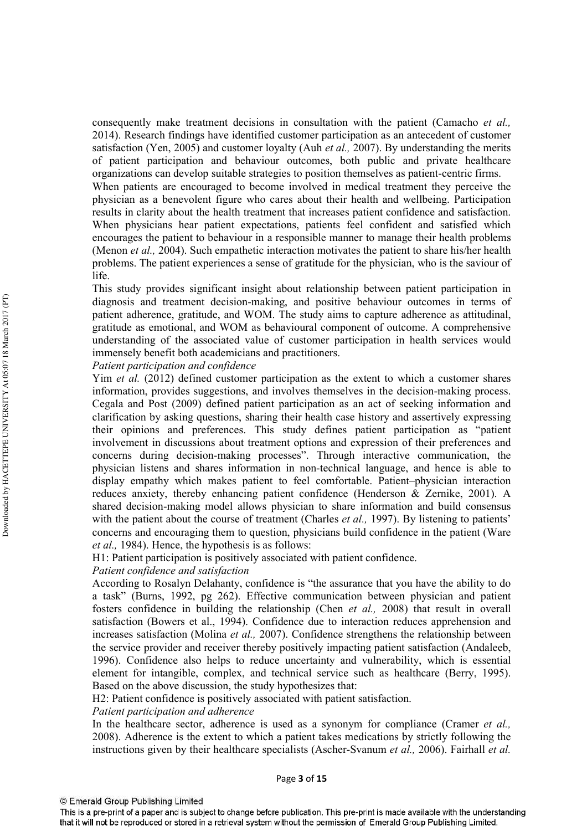consequently make treatment decisions in consultation with the patient (Camacho et al., 2014). Research findings have identified customer participation as an antecedent of customer satisfaction (Yen, 2005) and customer loyalty (Auh et al., 2007). By understanding the merits of patient participation and behaviour outcomes, both public and private healthcare organizations can develop suitable strategies to position themselves as patient-centric firms.

When patients are encouraged to become involved in medical treatment they perceive the physician as a benevolent figure who cares about their health and wellbeing. Participation results in clarity about the health treatment that increases patient confidence and satisfaction. When physicians hear patient expectations, patients feel confident and satisfied which encourages the patient to behaviour in a responsible manner to manage their health problems (Menon *et al.*, 2004). Such empathetic interaction motivates the patient to share his/her health problems. The patient experiences a sense of gratitude for the physician, who is the saviour of life.

This study provides significant insight about relationship between patient participation in diagnosis and treatment decision-making, and positive behaviour outcomes in terms of patient adherence, gratitude, and WOM. The study aims to capture adherence as attitudinal, gratitude as emotional, and WOM as behavioural component of outcome. A comprehensive understanding of the associated value of customer participation in health services would immensely benefit both academicians and practitioners.

Patient participation and confidence

Yim et al. (2012) defined customer participation as the extent to which a customer shares information, provides suggestions, and involves themselves in the decision-making process. Cegala and Post (2009) defined patient participation as an act of seeking information and clarification by asking questions, sharing their health case history and assertively expressing their opinions and preferences. This study defines patient participation as "patient" involvement in discussions about treatment options and expression of their preferences and concerns during decision-making processes". Through interactive communication, the physician listens and shares information in non-technical language, and hence is able to display empathy which makes patient to feel comfortable. Patient-physician interaction reduces anxiety, thereby enhancing patient confidence (Henderson & Zernike, 2001). A shared decision-making model allows physician to share information and build consensus with the patient about the course of treatment (Charles et al., 1997). By listening to patients' concerns and encouraging them to question, physicians build confidence in the patient (Ware *et al.*, 1984). Hence, the hypothesis is as follows:

H1: Patient participation is positively associated with patient confidence.

# Patient confidence and satisfaction

According to Rosalyn Delahanty, confidence is "the assurance that you have the ability to do a task" (Burns, 1992, pg 262). Effective communication between physician and patient fosters confidence in building the relationship (Chen et al., 2008) that result in overall satisfaction (Bowers et al., 1994). Confidence due to interaction reduces apprehension and increases satisfaction (Molina *et al.*, 2007). Confidence strengthens the relationship between the service provider and receiver thereby positively impacting patient satisfaction (Andaleeb, 1996). Confidence also helps to reduce uncertainty and vulnerability, which is essential element for intangible, complex, and technical service such as healthcare (Berry, 1995). Based on the above discussion, the study hypothesizes that:

H2: Patient confidence is positively associated with patient satisfaction.

## Patient participation and adherence

In the healthcare sector, adherence is used as a synonym for compliance (Cramer et al., 2008). Adherence is the extent to which a patient takes medications by strictly following the instructions given by their healthcare specialists (Ascher-Svanum et al., 2006). Fairhall et al.

<sup>©</sup> Emerald Group Publishing Limited

This is a pre-print of a paper and is subject to change before publication. This pre-print is made available with the understanding that it will not be reproduced or stored in a retrieval system without the permission of Emerald Group Publishing Limited.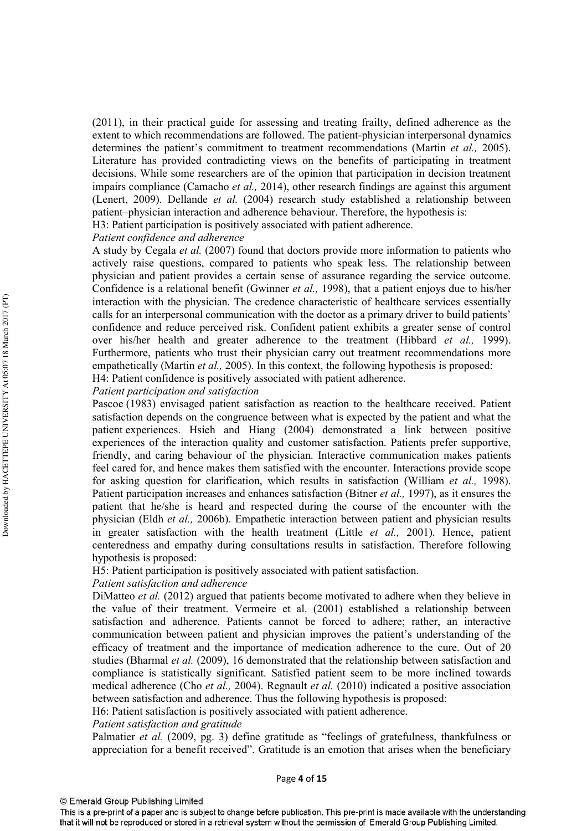(2011), in their practical guide for assessing and treating frailty, defined adherence as the extent to which recommendations are followed. The patient-physician interpersonal dynamics determines the patient's commitment to treatment recommendations (Martin *et al.*, 2005). Literature has provided contradicting views on the benefits of participating in treatment decisions. While some researchers are of the opinion that participation in decision treatment impairs compliance (Camacho et al., 2014), other research findings are against this argument (Lenert, 2009). Dellande et al. (2004) research study established a relationship between patient-physician interaction and adherence behaviour. Therefore, the hypothesis is: H3: Patient participation is positively associated with patient adherence.

Patient confidence and adherence

A study by Cegala *et al.* (2007) found that doctors provide more information to patients who actively raise questions, compared to patients who speak less. The relationship between physician and patient provides a certain sense of assurance regarding the service outcome. Confidence is a relational benefit (Gwinner et al., 1998), that a patient enjoys due to his/her interaction with the physician. The credence characteristic of healthcare services essentially calls for an interpersonal communication with the doctor as a primary driver to build patients' confidence and reduce perceived risk. Confident patient exhibits a greater sense of control over his/her health and greater adherence to the treatment (Hibbard *et al.*, 1999). Furthermore, patients who trust their physician carry out treatment recommendations more empathetically (Martin *et al.*, 2005). In this context, the following hypothesis is proposed: H4: Patient confidence is positively associated with patient adherence.

Patient participation and satisfaction

Pascoe (1983) envisaged patient satisfaction as reaction to the healthcare received. Patient satisfaction depends on the congruence between what is expected by the patient and what the patient experiences. Hiseh and Hiang (2004) demonstrated a link between positive experiences of the interaction quality and customer satisfaction. Patients prefer supportive. friendly, and caring behaviour of the physician. Interactive communication makes patients feel cared for, and hence makes them satisfied with the encounter. Interactions provide scope for asking question for clarification, which results in satisfaction (William *et al.*, 1998). Patient participation increases and enhances satisfaction (Bitner et al., 1997), as it ensures the patient that he/she is heard and respected during the course of the encounter with the physician (Eldh et al., 2006b). Empathetic interaction between patient and physician results in greater satisfaction with the health treatment (Little et al., 2001). Hence, patient centeredness and empathy during consultations results in satisfaction. Therefore following hypothesis is proposed:

H5: Patient participation is positively associated with patient satisfaction.

#### Patient satisfaction and adherence

DiMatteo et al. (2012) argued that patients become motivated to adhere when they believe in the value of their treatment. Vermeire et al. (2001) established a relationship between satisfaction and adherence. Patients cannot be forced to adhere; rather, an interactive communication between patient and physician improves the patient's understanding of the efficacy of treatment and the importance of medication adherence to the cure. Out of 20 studies (Bharmal et al. (2009), 16 demonstrated that the relationship between satisfaction and compliance is statistically significant. Satisfied patient seem to be more inclined towards medical adherence (Cho et al., 2004). Regnault et al. (2010) indicated a positive association between satisfaction and adherence. Thus the following hypothesis is proposed:

H6: Patient satisfaction is positively associated with patient adherence.

Patient satisfaction and gratitude

Palmatier et al. (2009, pg. 3) define gratitude as "feelings of gratefulness, thankfulness or appreciation for a benefit received". Gratitude is an emotion that arises when the beneficiary

This is a pre-print of a paper and is subject to change before publication. This pre-print is made available with the understanding that it will not be reproduced or stored in a retrieval system without the permission of Emerald Group Publishing Limited.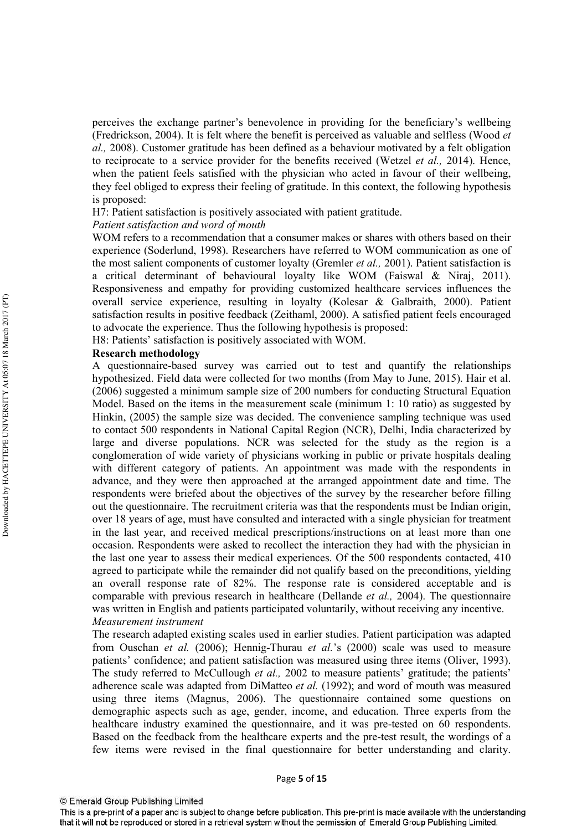perceives the exchange partner's benevolence in providing for the beneficiary's wellbeing (Fredrickson, 2004). It is felt where the benefit is perceived as valuable and selfless (Wood et al., 2008). Customer gratitude has been defined as a behaviour motivated by a felt obligation to reciprocate to a service provider for the benefits received (Wetzel et al., 2014). Hence, when the patient feels satisfied with the physician who acted in favour of their wellbeing. they feel obliged to express their feeling of gratitude. In this context, the following hypothesis is proposed:

H7: Patient satisfaction is positively associated with patient gratitude.

## Patient satisfaction and word of mouth

WOM refers to a recommendation that a consumer makes or shares with others based on their experience (Soderlund, 1998). Researchers have referred to WOM communication as one of the most salient components of customer loyalty (Gremler et al., 2001). Patient satisfaction is a critical determinant of behavioural loyalty like WOM (Faiswal & Nirai, 2011). Responsiveness and empathy for providing customized healthcare services influences the overall service experience, resulting in loyalty (Kolesar & Galbraith, 2000). Patient satisfaction results in positive feedback (Zeithaml, 2000). A satisfied patient feels encouraged to advocate the experience. Thus the following hypothesis is proposed.

H8: Patients' satisfaction is positively associated with WOM.

# **Research methodology**

A questionnaire-based survey was carried out to test and quantify the relationships hypothesized. Field data were collected for two months (from May to June, 2015). Hair et al. (2006) suggested a minimum sample size of 200 numbers for conducting Structural Equation Model. Based on the items in the measurement scale (minimum 1: 10 ratio) as suggested by Hinkin, (2005) the sample size was decided. The convenience sampling technique was used to contact 500 respondents in National Capital Region (NCR), Delhi, India characterized by large and diverse populations. NCR was selected for the study as the region is a conglomeration of wide variety of physicians working in public or private hospitals dealing with different category of patients. An appointment was made with the respondents in advance, and they were then approached at the arranged appointment date and time. The respondents were briefed about the objectives of the survey by the researcher before filling out the questionnaire. The recruitment criteria was that the respondents must be Indian origin. over 18 years of age, must have consulted and interacted with a single physician for treatment in the last year, and received medical prescriptions/instructions on at least more than one occasion. Respondents were asked to recollect the interaction they had with the physician in the last one year to assess their medical experiences. Of the 500 respondents contacted, 410 agreed to participate while the remainder did not qualify based on the preconditions, yielding an overall response rate of 82%. The response rate is considered acceptable and is comparable with previous research in healthcare (Dellande et al., 2004). The questionnaire was written in English and patients participated voluntarily, without receiving any incentive. Measurement instrument

The research adapted existing scales used in earlier studies. Patient participation was adapted from Ouschan et al. (2006); Hennig-Thurau et al.'s (2000) scale was used to measure patients' confidence; and patient satisfaction was measured using three items (Oliver, 1993). The study referred to McCullough et al., 2002 to measure patients' gratitude; the patients' adherence scale was adapted from DiMatteo *et al.* (1992); and word of mouth was measured using three items (Magnus, 2006). The questionnaire contained some questions on demographic aspects such as age, gender, income, and education. Three experts from the healthcare industry examined the questionnaire, and it was pre-tested on 60 respondents. Based on the feedback from the healthcare experts and the pre-test result, the wordings of a few items were revised in the final questionnaire for better understanding and clarity.

<sup>©</sup> Emerald Group Publishing Limited

This is a pre-print of a paper and is subject to change before publication. This pre-print is made available with the understanding that it will not be reproduced or stored in a retrieval system without the permission of Emerald Group Publishing Limited.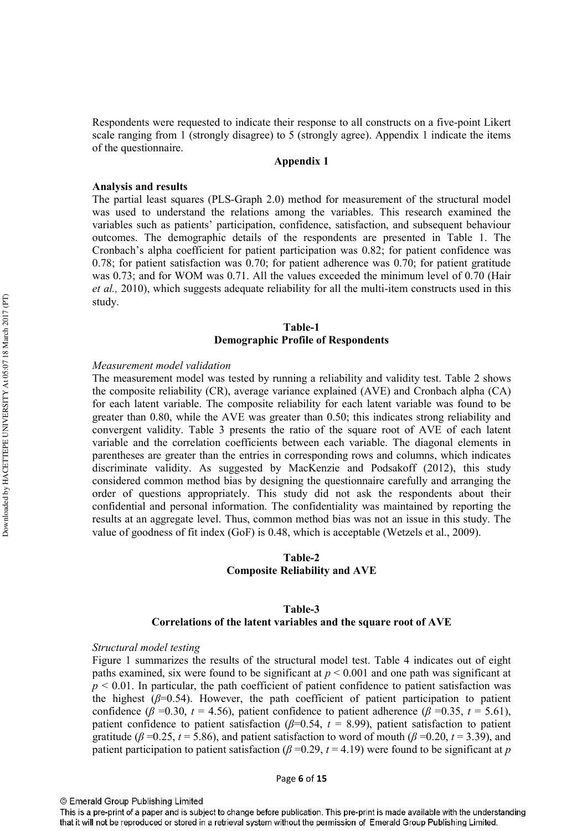Respondents were requested to indicate their response to all constructs on a five-point Likert scale ranging from 1 (strongly disagree) to 5 (strongly agree). Appendix 1 indicate the items of the questionnaire.

# **Appendix 1**

#### **Analysis and results**

The partial least squares (PLS-Graph 2.0) method for measurement of the structural model was used to understand the relations among the variables. This research examined the variables such as patients' participation, confidence, satisfaction, and subsequent behaviour outcomes. The demographic details of the respondents are presented in Table 1. The Cronbach's alpha coefficient for patient participation was 0.82; for patient confidence was  $0.78$ ; for patient satisfaction was  $0.70$ ; for patient adherence was  $0.70$ ; for patient gratitude was  $0.73$ ; and for WOM was  $0.71$ . All the values exceeded the minimum level of  $0.70$  (Hair *et al.*, 2010), which suggests adequate reliability for all the multi-item constructs used in this study.

# Table-1 **Demographic Profile of Respondents**

#### Measurement model validation

The measurement model was tested by running a reliability and validity test. Table 2 shows the composite reliability (CR), average variance explained (AVE) and Cronbach alpha (CA) for each latent variable. The composite reliability for each latent variable was found to be greater than 0.80, while the AVE was greater than 0.50; this indicates strong reliability and convergent validity. Table 3 presents the ratio of the square root of AVE of each latent variable and the correlation coefficients between each variable. The diagonal elements in parentheses are greater than the entries in corresponding rows and columns, which indicates discriminate validity. As suggested by MacKenzie and Podsakoff (2012), this study considered common method bias by designing the questionnaire carefully and arranging the order of questions appropriately. This study did not ask the respondents about their confidential and personal information. The confidentiality was maintained by reporting the results at an aggregate level. Thus, common method bias was not an issue in this study. The value of goodness of fit index (GoF) is 0.48, which is acceptable (Wetzels et al., 2009).

# Table-2 **Composite Reliability and AVE**

# Table-3 Correlations of the latent variables and the square root of AVE

#### Structural model testing

Figure 1 summarizes the results of the structural model test. Table 4 indicates out of eight paths examined, six were found to be significant at  $p < 0.001$  and one path was significant at  $p \le 0.01$ . In particular, the path coefficient of patient confidence to patient satisfaction was the highest  $(\beta=0.54)$ . However, the path coefficient of patient participation to patient confidence ( $\beta$  =0.30, t = 4.56), patient confidence to patient adherence ( $\beta$  =0.35, t = 5.61), patient confidence to patient satisfaction ( $\beta$ =0.54,  $t$  = 8.99), patient satisfaction to patient gratitude ( $\beta$  =0.25, t = 5.86), and patient satisfaction to word of mouth ( $\beta$  =0.20, t = 3.39), and patient participation to patient satisfaction ( $\beta$  =0.29,  $t$  = 4.19) were found to be significant at p

<sup>©</sup> Emerald Group Publishing Limited

This is a pre-print of a paper and is subject to change before publication. This pre-print is made available with the understanding that it will not be reproduced or stored in a retrieval system without the permission of Emerald Group Publishing Limited.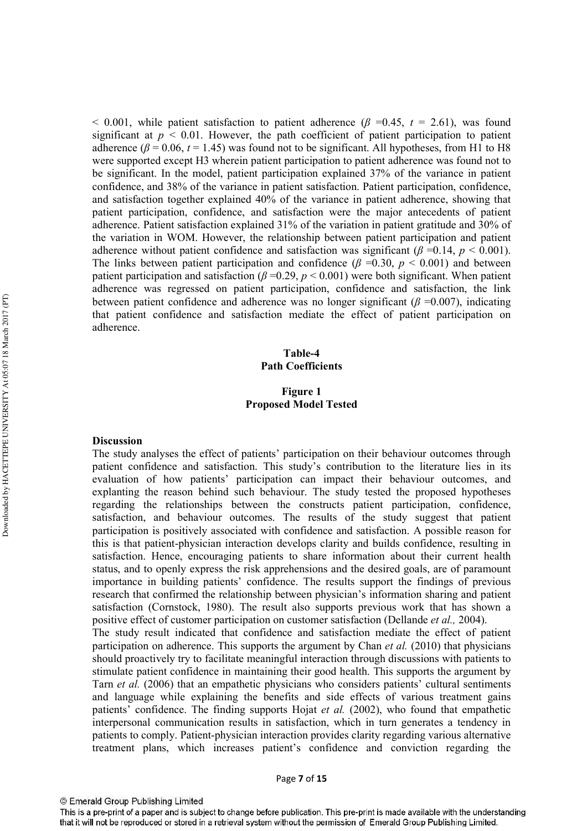< 0.001, while patient satisfaction to patient adherence ( $\beta$  =0.45,  $t$  = 2.61), was found significant at  $p \le 0.01$ . However, the path coefficient of patient participation to patient adherence ( $\beta$  = 0.06, t = 1.45) was found not to be significant. All hypotheses, from H1 to H8 were supported except H3 wherein patient participation to patient adherence was found not to be significant. In the model, patient participation explained 37% of the variance in patient confidence, and 38% of the variance in patient satisfaction. Patient participation, confidence, and satisfaction together explained 40% of the variance in patient adherence, showing that patient participation, confidence, and satisfaction were the major antecedents of patient adherence. Patient satisfaction explained 31% of the variation in patient gratitude and 30% of the variation in WOM. However, the relationship between patient participation and patient adherence without patient confidence and satisfaction was significant ( $\beta$  =0.14,  $p$  < 0.001). The links between patient participation and confidence ( $\beta$  =0.30,  $p$  < 0.001) and between patient participation and satisfaction ( $\beta$  =0.29, p < 0.001) were both significant. When patient adherence was regressed on patient participation, confidence and satisfaction, the link between patient confidence and adherence was no longer significant ( $\beta$  =0.007), indicating that patient confidence and satisfaction mediate the effect of patient participation on adherence.

# Table-4 **Path Coefficients**

# **Figure 1 Proposed Model Tested**

#### **Discussion**

The study analyses the effect of patients' participation on their behaviour outcomes through patient confidence and satisfaction. This study's contribution to the literature lies in its evaluation of how patients' participation can impact their behaviour outcomes, and explanting the reason behind such behaviour. The study tested the proposed hypotheses regarding the relationships between the constructs patient participation, confidence, satisfaction, and behaviour outcomes. The results of the study suggest that patient participation is positively associated with confidence and satisfaction. A possible reason for this is that patient-physician interaction develops clarity and builds confidence, resulting in satisfaction. Hence, encouraging patients to share information about their current health status, and to openly express the risk apprehensions and the desired goals, are of paramount importance in building patients' confidence. The results support the findings of previous research that confirmed the relationship between physician's information sharing and patient satisfaction (Cornstock, 1980). The result also supports previous work that has shown a positive effect of customer participation on customer satisfaction (Dellande et al., 2004). The study result indicated that confidence and satisfaction mediate the effect of patient participation on adherence. This supports the argument by Chan et al. (2010) that physicians should proactively try to facilitate meaningful interaction through discussions with patients to stimulate patient confidence in maintaining their good health. This supports the argument by Tarn et al. (2006) that an empathetic physicians who considers patients' cultural sentiments and language while explaining the benefits and side effects of various treatment gains patients' confidence. The finding supports Hojat et al. (2002), who found that empathetic interpersonal communication results in satisfaction, which in turn generates a tendency in patients to comply. Patient-physician interaction provides clarity regarding various alternative treatment plans, which increases patient's confidence and conviction regarding the

This is a pre-print of a paper and is subject to change before publication. This pre-print is made available with the understanding that it will not be reproduced or stored in a retrieval system without the permission of Emerald Group Publishing Limited.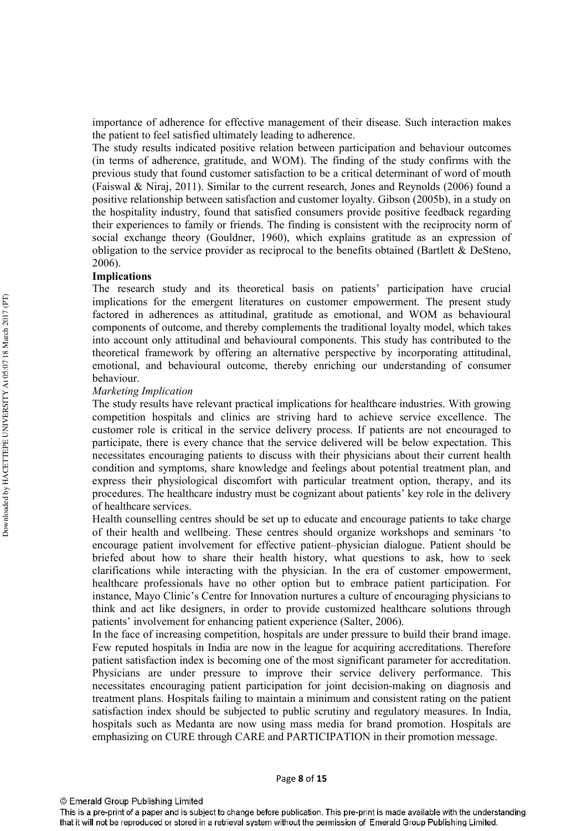importance of adherence for effective management of their disease. Such interaction makes the patient to feel satisfied ultimately leading to adherence.

The study results indicated positive relation between participation and behaviour outcomes (in terms of adherence, gratitude, and WOM). The finding of the study confirms with the previous study that found customer satisfaction to be a critical determinant of word of mouth (Faiswal & Niraj, 2011). Similar to the current research, Jones and Reynolds (2006) found a positive relationship between satisfaction and customer loyalty. Gibson (2005b), in a study on the hospitality industry, found that satisfied consumers provide positive feedback regarding their experiences to family or friends. The finding is consistent with the reciprocity norm of social exchange theory (Gouldner, 1960), which explains gratitude as an expression of obligation to the service provider as reciprocal to the benefits obtained (Bartlett  $\&$  DeSteno, 2006).

#### **Implications**

The research study and its theoretical basis on patients' participation have crucial implications for the emergent literatures on customer empowerment. The present study factored in adherences as attitudinal, gratitude as emotional, and WOM as behavioural components of outcome, and thereby complements the traditional loyalty model, which takes into account only attitudinal and behavioural components. This study has contributed to the theoretical framework by offering an alternative perspective by incorporating attitudinal, emotional, and behavioural outcome, thereby enriching our understanding of consumer hehaviour.

#### **Marketing Implication**

The study results have relevant practical implications for healthcare industries. With growing competition hospitals and clinics are striving hard to achieve service excellence. The customer role is critical in the service delivery process. If patients are not encouraged to participate, there is every chance that the service delivered will be below expectation. This necessitates encouraging patients to discuss with their physicians about their current health condition and symptoms, share knowledge and feelings about potential treatment plan, and express their physiological discomfort with particular treatment option, therapy, and its procedures. The healthcare industry must be cognizant about patients' key role in the delivery of healthcare services

Health counselling centres should be set up to educate and encourage patients to take charge of their health and wellbeing. These centres should organize workshops and seminars 'to encourage patient involvement for effective patient-physician dialogue. Patient should be briefed about how to share their health history, what questions to ask, how to seek clarifications while interacting with the physician. In the era of customer empowerment, healthcare professionals have no other option but to embrace patient participation. For instance, Mayo Clinic's Centre for Innovation nurtures a culture of encouraging physicians to think and act like designers, in order to provide customized healthcare solutions through patients' involvement for enhancing patient experience (Salter, 2006).

In the face of increasing competition, hospitals are under pressure to build their brand image. Few reputed hospitals in India are now in the league for acquiring accreditations. Therefore patient satisfaction index is becoming one of the most significant parameter for accreditation. Physicians are under pressure to improve their service delivery performance. This necessitates encouraging patient participation for joint decision-making on diagnosis and treatment plans. Hospitals failing to maintain a minimum and consistent rating on the patient satisfaction index should be subjected to public scrutiny and regulatory measures. In India, hospitals such as Medanta are now using mass media for brand promotion. Hospitals are emphasizing on CURE through CARE and PARTICIPATION in their promotion message.

This is a pre-print of a paper and is subject to change before publication. This pre-print is made available with the understanding that it will not be reproduced or stored in a retrieval system without the permission of Emerald Group Publishing Limited.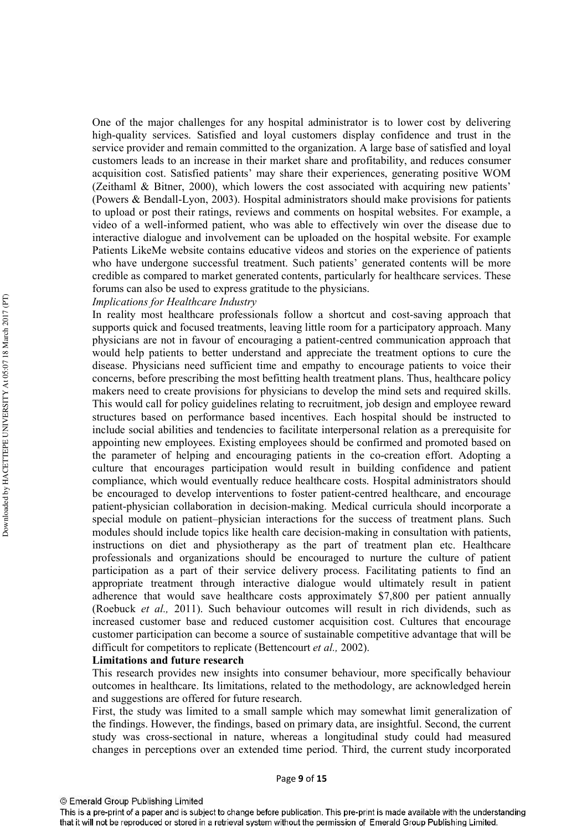One of the major challenges for any hospital administrator is to lower cost by delivering high-quality services. Satisfied and loyal customers display confidence and trust in the service provider and remain committed to the organization. A large base of satisfied and loyal customers leads to an increase in their market share and profitability, and reduces consumer acquisition cost. Satisfied patients' may share their experiences, generating positive WOM (Zeithaml & Bitner, 2000), which lowers the cost associated with acquiring new patients' (Powers & Bendall-Lyon, 2003). Hospital administrators should make provisions for patients to upload or post their ratings, reviews and comments on hospital websites. For example, a video of a well-informed patient, who was able to effectively win over the disease due to interactive dialogue and involvement can be uploaded on the hospital website. For example Patients LikeMe website contains educative videos and stories on the experience of patients who have undergone successful treatment. Such patients' generated contents will be more credible as compared to market generated contents, particularly for healthcare services. These forums can also be used to express gratitude to the physicians.

# **Implications for Healthcare Industry**

In reality most healthcare professionals follow a shortcut and cost-saving approach that supports quick and focused treatments, leaving little room for a participatory approach. Many physicians are not in favour of encouraging a patient-centred communication approach that would help patients to better understand and appreciate the treatment options to cure the disease. Physicians need sufficient time and empathy to encourage patients to voice their concerns, before prescribing the most befitting health treatment plans. Thus, healthcare policy makers need to create provisions for physicians to develop the mind sets and required skills. This would call for policy guidelines relating to recruitment, job design and employee reward structures based on performance based incentives. Each hospital should be instructed to include social abilities and tendencies to facilitate interpersonal relation as a prerequisite for appointing new employees. Existing employees should be confirmed and promoted based on the parameter of helping and encouraging patients in the co-creation effort. Adopting a culture that encourages participation would result in building confidence and patient compliance, which would eventually reduce healthcare costs. Hospital administrators should be encouraged to develop interventions to foster patient-centred healthcare, and encourage patient-physician collaboration in decision-making. Medical curricula should incorporate a special module on patient-physician interactions for the success of treatment plans. Such modules should include topics like health care decision-making in consultation with patients, instructions on diet and physiotherapy as the part of treatment plan etc. Healthcare professionals and organizations should be encouraged to nurture the culture of patient participation as a part of their service delivery process. Facilitating patients to find an appropriate treatment through interactive dialogue would ultimately result in patient adherence that would save healthcare costs approximately \$7,800 per patient annually (Roebuck et al., 2011). Such behaviour outcomes will result in rich dividends, such as increased customer base and reduced customer acquisition cost. Cultures that encourage customer participation can become a source of sustainable competitive advantage that will be difficult for competitors to replicate (Bettencourt et al., 2002).

#### **Limitations and future research**

This research provides new insights into consumer behaviour, more specifically behaviour outcomes in healthcare. Its limitations, related to the methodology, are acknowledged herein and suggestions are offered for future research.

First, the study was limited to a small sample which may somewhat limit generalization of the findings. However, the findings, based on primary data, are insightful. Second, the current study was cross-sectional in nature, whereas a longitudinal study could had measured changes in perceptions over an extended time period. Third, the current study incorporated

This is a pre-print of a paper and is subject to change before publication. This pre-print is made available with the understanding that it will not be reproduced or stored in a retrieval system without the permission of Emerald Group Publishing Limited.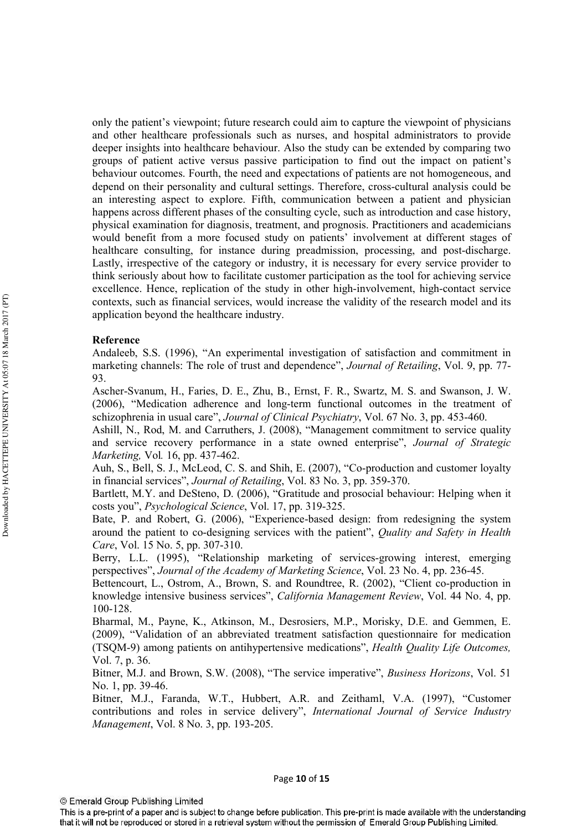only the patient's viewpoint; future research could aim to capture the viewpoint of physicians and other healthcare professionals such as nurses, and hospital administrators to provide deeper insights into healthcare behaviour. Also the study can be extended by comparing two groups of patient active versus passive participation to find out the impact on patient's behaviour outcomes. Fourth, the need and expectations of patients are not homogeneous, and depend on their personality and cultural settings. Therefore, cross-cultural analysis could be an interesting aspect to explore. Fifth, communication between a patient and physician happens across different phases of the consulting cycle, such as introduction and case history, physical examination for diagnosis, treatment, and prognosis. Practitioners and academicians would benefit from a more focused study on patients' involvement at different stages of healthcare consulting, for instance during preadmission, processing, and post-discharge. Lastly, irrespective of the category or industry, it is necessary for every service provider to think seriously about how to facilitate customer participation as the tool for achieving service excellence. Hence, replication of the study in other high-involvement, high-contact service contexts, such as financial services, would increase the validity of the research model and its application beyond the healthcare industry.

## Reference

Andaleeb, S.S. (1996), "An experimental investigation of satisfaction and commitment in marketing channels: The role of trust and dependence", Journal of Retailing, Vol. 9, pp. 77-93.

Ascher-Svanum, H., Faries, D. E., Zhu, B., Ernst, F. R., Swartz, M. S. and Swanson, J. W. (2006), "Medication adherence and long-term functional outcomes in the treatment of schizophrenia in usual care", Journal of Clinical Psychiatry, Vol. 67 No. 3, pp. 453-460.

Ashill, N., Rod, M. and Carruthers, J. (2008), "Management commitment to service quality and service recovery performance in a state owned enterprise", Journal of Strategic Marketing, Vol. 16, pp. 437-462.

Auh, S., Bell, S. J., McLeod, C. S. and Shih, E. (2007), "Co-production and customer loyalty in financial services", Journal of Retailing, Vol. 83 No. 3, pp. 359-370.

Bartlett, M.Y. and DeSteno, D. (2006), "Gratitude and prosocial behaviour: Helping when it costs you", *Psychological Science*, Vol. 17, pp. 319-325.

Bate, P. and Robert, G. (2006), "Experience-based design: from redesigning the system around the patient to co-designing services with the patient", Quality and Safety in Health Care, Vol. 15 No. 5, pp. 307-310.

Berry, L.L. (1995), "Relationship marketing of services-growing interest, emerging perspectives", Journal of the Academy of Marketing Science, Vol. 23 No. 4, pp. 236-45.

Bettencourt, L., Ostrom, A., Brown, S. and Roundtree, R. (2002), "Client co-production in knowledge intensive business services", California Management Review, Vol. 44 No. 4, pp. 100-128.

Bharmal, M., Payne, K., Atkinson, M., Desrosiers, M.P., Morisky, D.E. and Gemmen, E. (2009), "Validation of an abbreviated treatment satisfaction questionnaire for medication (TSQM-9) among patients on antihypertensive medications", Health Quality Life Outcomes, Vol. 7, p. 36.

Bitner, M.J. and Brown, S.W. (2008), "The service imperative", Business Horizons, Vol. 51 No. 1, pp. 39-46.

Bitner, M.J., Faranda, W.T., Hubbert, A.R. and Zeithaml, V.A. (1997), "Customer contributions and roles in service delivery", International Journal of Service Industry Management, Vol. 8 No. 3, pp. 193-205.

This is a pre-print of a paper and is subject to change before publication. This pre-print is made available with the understanding that it will not be reproduced or stored in a retrieval system without the permission of Emerald Group Publishing Limited.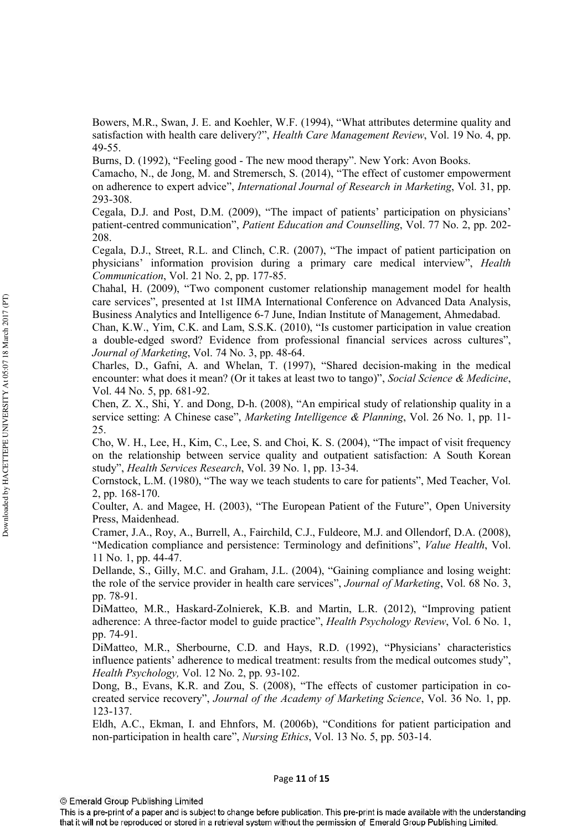Bowers, M.R., Swan, J. E. and Koehler, W.F. (1994), "What attributes determine quality and satisfaction with health care delivery?", Health Care Management Review, Vol. 19 No. 4, pp.  $49 - 55$ .

Burns, D. (1992), "Feeling good - The new mood therapy". New York: Avon Books.

Camacho, N., de Jong, M. and Stremersch, S. (2014), "The effect of customer empowerment on adherence to expert advice", International Journal of Research in Marketing, Vol. 31, pp. 293-308.

Cegala, D.J. and Post, D.M. (2009), "The impact of patients' participation on physicians' patient-centred communication", Patient Education and Counselling, Vol. 77 No. 2, pp. 202-208.

Cegala, D.J., Street, R.L. and Clinch, C.R. (2007), "The impact of patient participation on physicians' information provision during a primary care medical interview", Health Communication, Vol. 21 No. 2, pp. 177-85.

Chahal, H. (2009), "Two component customer relationship management model for health care services", presented at 1st IIMA International Conference on Advanced Data Analysis, Business Analytics and Intelligence 6-7 June, Indian Institute of Management, Ahmedabad.

Chan, K.W., Yim, C.K. and Lam, S.S.K. (2010), "Is customer participation in value creation a double-edged sword? Evidence from professional financial services across cultures", Journal of Marketing, Vol. 74 No. 3, pp. 48-64.

Charles, D., Gafni, A. and Whelan, T. (1997), "Shared decision-making in the medical encounter: what does it mean? (Or it takes at least two to tango)", Social Science & Medicine, Vol. 44 No. 5, pp. 681-92.

Chen, Z. X., Shi, Y. and Dong, D-h. (2008), "An empirical study of relationship quality in a service setting: A Chinese case", Marketing Intelligence & Planning, Vol. 26 No. 1, pp. 11-25.

Cho, W. H., Lee, H., Kim, C., Lee, S. and Choi, K. S. (2004), "The impact of visit frequency on the relationship between service quality and outpatient satisfaction: A South Korean study", *Health Services Research*, Vol. 39 No. 1, pp. 13-34.

Cornstock, L.M. (1980), "The way we teach students to care for patients", Med Teacher, Vol. 2, pp. 168-170.

Coulter, A. and Magee, H. (2003), "The European Patient of the Future", Open University Press, Maidenhead.

Cramer, J.A., Roy, A., Burrell, A., Fairchild, C.J., Fuldeore, M.J. and Ollendorf, D.A. (2008), "Medication compliance and persistence: Terminology and definitions", *Value Health*, Vol. 11 No. 1, pp. 44-47.

Dellande, S., Gilly, M.C. and Graham, J.L. (2004), "Gaining compliance and losing weight: the role of the service provider in health care services", Journal of Marketing, Vol. 68 No. 3, pp. 78-91.

DiMatteo, M.R., Haskard-Zolnierek, K.B. and Martin, L.R. (2012), "Improving patient adherence: A three-factor model to guide practice", *Health Psychology Review*, Vol. 6 No. 1, pp. 74-91.

DiMatteo, M.R., Sherbourne, C.D. and Hays, R.D. (1992), "Physicians' characteristics influence patients' adherence to medical treatment: results from the medical outcomes study", Health Psychology, Vol. 12 No. 2, pp. 93-102.

Dong, B., Evans, K.R. and Zou, S. (2008), "The effects of customer participation in cocreated service recovery", Journal of the Academy of Marketing Science, Vol. 36 No. 1, pp. 123-137.

Eldh, A.C., Ekman, I. and Ehnfors, M. (2006b), "Conditions for patient participation and non-participation in health care", Nursing Ethics, Vol. 13 No. 5, pp. 503-14.

<sup>©</sup> Emerald Group Publishing Limited

This is a pre-print of a paper and is subject to change before publication. This pre-print is made available with the understanding that it will not be reproduced or stored in a retrieval system without the permission of Emerald Group Publishing Limited.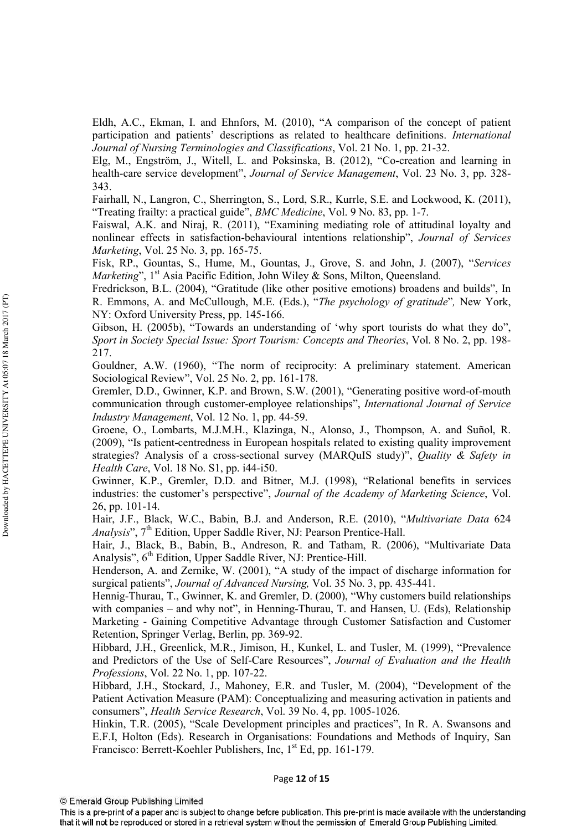Eldh, A.C., Ekman, I. and Ehnfors, M. (2010), "A comparison of the concept of patient participation and patients' descriptions as related to healthcare definitions. *International* Journal of Nursing Terminologies and Classifications, Vol. 21 No. 1, pp. 21-32.

Elg, M., Engström, J., Witell, L. and Poksinska, B. (2012), "Co-creation and learning in health-care service development", *Journal of Service Management*, Vol. 23 No. 3, pp. 328-343.

Fairhall, N., Langron, C., Sherrington, S., Lord, S.R., Kurrle, S.E. and Lockwood, K. (2011), "Treating frailty: a practical guide", *BMC Medicine*, Vol. 9 No. 83, pp. 1-7.

Faiswal, A.K. and Niraj, R. (2011), "Examining mediating role of attitudinal loyalty and nonlinear effects in satisfaction-behavioural intentions relationship", Journal of Services Marketing, Vol. 25 No. 3, pp. 165-75.

Fisk, RP., Gountas, S., Hume, M., Gountas, J., Grove, S. and John, J. (2007), "Services *Marketing*", 1<sup>st</sup> Asia Pacific Edition, John Wiley & Sons, Milton, Queensland.

Fredrickson, B.L. (2004), "Gratitude (like other positive emotions) broadens and builds", In R. Emmons, A. and McCullough, M.E. (Eds.), "The psychology of gratitude", New York, NY: Oxford University Press, pp. 145-166.

Gibson, H. (2005b), "Towards an understanding of 'why sport tourists do what they do" Sport in Society Special Issue: Sport Tourism: Concepts and Theories, Vol. 8 No. 2, pp. 198-217.

Gouldner, A.W. (1960), "The norm of reciprocity: A preliminary statement. American Sociological Review", Vol. 25 No. 2, pp. 161-178.

Gremler, D.D., Gwinner, K.P. and Brown, S.W. (2001), "Generating positive word-of-mouth communication through customer-employee relationships", International Journal of Service Industry Management, Vol. 12 No. 1, pp. 44-59.

Groene, O., Lombarts, M.J.M.H., Klazinga, N., Alonso, J., Thompson, A. and Suñol, R. (2009), "Is patient-centredness in European hospitals related to existing quality improvement strategies? Analysis of a cross-sectional survey (MARQuIS study)", Quality & Safety in *Health Care, Vol. 18 No. S1, pp. i44-i50.* 

Gwinner, K.P., Gremler, D.D. and Bitner, M.J. (1998), "Relational benefits in services industries: the customer's perspective", Journal of the Academy of Marketing Science, Vol. 26, pp. 101-14.

Hair, J.F., Black, W.C., Babin, B.J. and Anderson, R.E. (2010), "Multivariate Data 624 Analysis", 7<sup>th</sup> Edition, Upper Saddle River, NJ: Pearson Prentice-Hall.

Hair, J., Black, B., Babin, B., Andreson, R. and Tatham, R. (2006), "Multivariate Data Analysis", 6<sup>th</sup> Edition, Upper Saddle River, NJ: Prentice-Hill.

Henderson, A. and Zernike, W. (2001), "A study of the impact of discharge information for surgical patients", Journal of Advanced Nursing, Vol. 35 No. 3, pp. 435-441.

Hennig-Thurau, T., Gwinner, K. and Gremler, D. (2000), "Why customers build relationships with companies - and why not", in Henning-Thurau, T. and Hansen, U. (Eds), Relationship Marketing - Gaining Competitive Advantage through Customer Satisfaction and Customer Retention, Springer Verlag, Berlin, pp. 369-92.

Hibbard, J.H., Greenlick, M.R., Jimison, H., Kunkel, L. and Tusler, M. (1999), "Prevalence and Predictors of the Use of Self-Care Resources", Journal of Evaluation and the Health Professions, Vol. 22 No. 1, pp. 107-22.

Hibbard, J.H., Stockard, J., Mahoney, E.R. and Tusler, M. (2004), "Development of the Patient Activation Measure (PAM): Conceptualizing and measuring activation in patients and consumers", *Health Service Research*, Vol. 39 No. 4, pp. 1005-1026.

Hinkin, T.R. (2005), "Scale Development principles and practices", In R. A. Swansons and E.F.I, Holton (Eds). Research in Organisations: Foundations and Methods of Inquiry, San Francisco: Berrett-Koehler Publishers, Inc, 1<sup>st</sup> Ed, pp. 161-179.

This is a pre-print of a paper and is subject to change before publication. This pre-print is made available with the understanding that it will not be reproduced or stored in a retrieval system without the permission of Emerald Group Publishing Limited.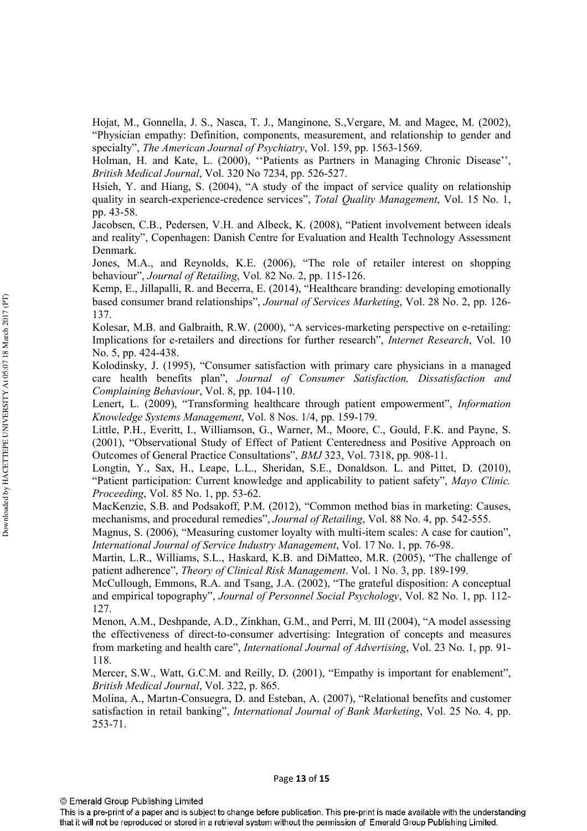Hojat, M., Gonnella, J. S., Nasca, T. J., Manginone, S., Vergare, M. and Magee, M. (2002), "Physician empathy: Definition, components, measurement, and relationship to gender and specialty", The American Journal of Psychiatry, Vol. 159, pp. 1563-1569.

Holman, H. and Kate, L. (2000), "Patients as Partners in Managing Chronic Disease", *British Medical Journal, Vol. 320 No 7234, pp. 526-527.* 

Hsieh, Y. and Hiang, S. (2004), "A study of the impact of service quality on relationship quality in search-experience-credence services", Total Quality Management, Vol. 15 No. 1, pp. 43-58.

Jacobsen, C.B., Pedersen, V.H. and Albeck, K. (2008), "Patient involvement between ideals and reality", Copenhagen: Danish Centre for Evaluation and Health Technology Assessment Denmark.

Jones, M.A., and Reynolds, K.E. (2006), "The role of retailer interest on shopping behaviour", Journal of Retailing, Vol. 82 No. 2, pp. 115-126.

Kemp, E., Jillapalli, R. and Becerra, E. (2014), "Healthcare branding: developing emotionally based consumer brand relationships", Journal of Services Marketing, Vol. 28 No. 2, pp. 126-137.

Kolesar, M.B. and Galbraith, R.W. (2000), "A services-marketing perspective on e-retailing: Implications for e-retailers and directions for further research", *Internet Research*, Vol. 10 No. 5, pp. 424-438.

Kolodinsky, J. (1995), "Consumer satisfaction with primary care physicians in a managed care health benefits plan", Journal of Consumer Satisfaction, Dissatisfaction and Complaining Behaviour, Vol. 8, pp. 104-110.

Lenert, L. (2009), "Transforming healthcare through patient empowerment", Information Knowledge Systems Management, Vol. 8 Nos. 1/4, pp. 159-179.

Little, P.H., Everitt, I., Williamson, G., Warner, M., Moore, C., Gould, F.K. and Payne, S. (2001), "Observational Study of Effect of Patient Centeredness and Positive Approach on Outcomes of General Practice Consultations", BMJ 323, Vol. 7318, pp. 908-11.

Longtin, Y., Sax, H., Leape, L.L., Sheridan, S.E., Donaldson. L. and Pittet, D. (2010), "Patient participation: Current knowledge and applicability to patient safety", Mayo Clinic. Proceeding, Vol. 85 No. 1, pp. 53-62.

MacKenzie, S.B. and Podsakoff, P.M. (2012), "Common method bias in marketing: Causes, mechanisms, and procedural remedies", Journal of Retailing, Vol. 88 No. 4, pp. 542-555.

Magnus, S. (2006), "Measuring customer loyalty with multi-item scales: A case for caution", International Journal of Service Industry Management, Vol. 17 No. 1, pp. 76-98.

Martin, L.R., Williams, S.L., Haskard, K.B. and DiMatteo, M.R. (2005), "The challenge of patient adherence", *Theory of Clinical Risk Management*. Vol. 1 No. 3, pp. 189-199.

McCullough, Emmons, R.A. and Tsang, J.A. (2002), "The grateful disposition: A conceptual and empirical topography", Journal of Personnel Social Psychology, Vol. 82 No. 1, pp. 112-127.

Menon, A.M., Deshpande, A.D., Zinkhan, G.M., and Perri, M. III (2004), "A model assessing the effectiveness of direct-to-consumer advertising: Integration of concepts and measures from marketing and health care", International Journal of Advertising, Vol. 23 No. 1, pp. 91-118.

Mercer, S.W., Watt, G.C.M. and Reilly, D. (2001), "Empathy is important for enablement". British Medical Journal, Vol. 322, p. 865.

Molina, A., Martin-Consuegra, D. and Esteban, A. (2007), "Relational benefits and customer satisfaction in retail banking", *International Journal of Bank Marketing*, Vol. 25 No. 4, pp. 253-71.

This is a pre-print of a paper and is subject to change before publication. This pre-print is made available with the understanding that it will not be reproduced or stored in a retrieval system without the permission of Emerald Group Publishing Limited.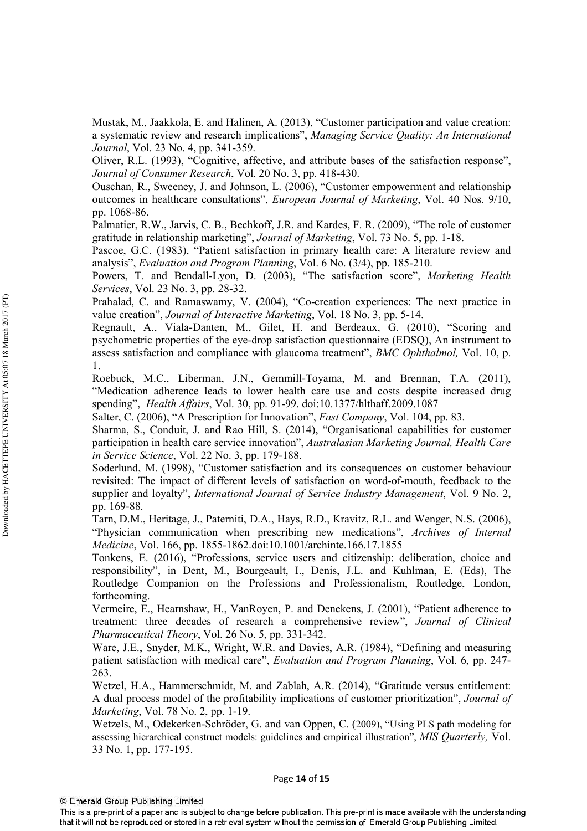Mustak, M., Jaakkola, E. and Halinen, A. (2013), "Customer participation and value creation: a systematic review and research implications", Managing Service Quality: An International *Journal*, Vol. 23 No. 4, pp. 341-359.

Oliver, R.L. (1993), "Cognitive, affective, and attribute bases of the satisfaction response", Journal of Consumer Research, Vol. 20 No. 3, pp. 418-430.

Ouschan, R., Sweeney, J. and Johnson, L. (2006), "Customer empowerment and relationship outcomes in healthcare consultations", European Journal of Marketing, Vol. 40 Nos. 9/10, pp. 1068-86.

Palmatier, R.W., Jarvis, C. B., Bechkoff, J.R. and Kardes, F. R. (2009), "The role of customer gratitude in relationship marketing", Journal of Marketing, Vol. 73 No. 5, pp. 1-18.

Pascoe, G.C. (1983), "Patient satisfaction in primary health care: A literature review and analysis", Evaluation and Program Planning, Vol. 6 No. (3/4), pp. 185-210.

Powers, T. and Bendall-Lyon, D. (2003), "The satisfaction score", Marketing Health Services, Vol. 23 No. 3, pp. 28-32.

Prahalad, C. and Ramaswamy, V. (2004), "Co-creation experiences: The next practice in value creation", Journal of Interactive Marketing, Vol. 18 No. 3, pp. 5-14.

Regnault, A., Viala-Danten, M., Gilet, H. and Berdeaux, G. (2010), "Scoring and psychometric properties of the eye-drop satisfaction questionnaire (EDSQ), An instrument to assess satisfaction and compliance with glaucoma treatment", BMC Ophthalmol, Vol. 10, p.  $\mathbf{1}$ .

Roebuck, M.C., Liberman, J.N., Gemmill-Toyama, M. and Brennan, T.A. (2011), "Medication adherence leads to lower health care use and costs despite increased drug spending", *Health Affairs*, Vol. 30, pp. 91-99. doi:10.1377/hlthaff.2009.1087

Salter, C. (2006), "A Prescription for Innovation", *Fast Company*, Vol. 104, pp. 83.

Sharma, S., Conduit, J. and Rao Hill, S. (2014), "Organisational capabilities for customer participation in health care service innovation", Australasian Marketing Journal, Health Care *in Service Science*, Vol. 22 No. 3, pp. 179-188.

Soderlund, M. (1998), "Customer satisfaction and its consequences on customer behaviour revisited: The impact of different levels of satisfaction on word-of-mouth, feedback to the supplier and loyalty", International Journal of Service Industry Management, Vol. 9 No. 2, pp. 169-88.

Tarn, D.M., Heritage, J., Paterniti, D.A., Hays, R.D., Kravitz, R.L. and Wenger, N.S. (2006), "Physician communication when prescribing new medications", Archives of Internal Medicine, Vol. 166, pp. 1855-1862.doi:10.1001/archinte.166.17.1855

Tonkens, E. (2016), "Professions, service users and citizenship: deliberation, choice and responsibility", in Dent, M., Bourgeault, I., Denis, J.L. and Kuhlman, E. (Eds), The Routledge Companion on the Professions and Professionalism, Routledge, London, forthcoming.

Vermeire, E., Hearnshaw, H., VanRoyen, P. and Denekens, J. (2001), "Patient adherence to treatment: three decades of research a comprehensive review", Journal of Clinical Pharmaceutical Theory, Vol. 26 No. 5, pp. 331-342.

Ware, J.E., Snyder, M.K., Wright, W.R. and Davies, A.R. (1984), "Defining and measuring patient satisfaction with medical care", Evaluation and Program Planning, Vol. 6, pp. 247-263.

Wetzel, H.A., Hammerschmidt, M. and Zablah, A.R. (2014), "Gratitude versus entitlement: A dual process model of the profitability implications of customer prioritization", Journal of *Marketing*, Vol. 78 No. 2, pp. 1-19.

Wetzels, M., Odekerken-Schröder, G. and van Oppen, C. (2009), "Using PLS path modeling for assessing hierarchical construct models: guidelines and empirical illustration", MIS Quarterly, Vol. 33 No. 1, pp. 177-195.

This is a pre-print of a paper and is subject to change before publication. This pre-print is made available with the understanding that it will not be reproduced or stored in a retrieval system without the permission of Emerald Group Publishing Limited.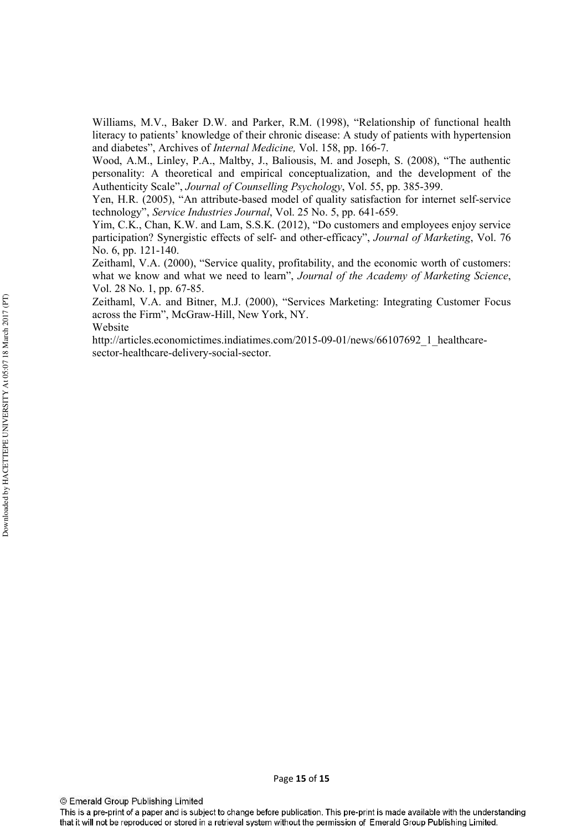Williams, M.V., Baker D.W. and Parker, R.M. (1998), "Relationship of functional health literacy to patients' knowledge of their chronic disease: A study of patients with hypertension and diabetes", Archives of *Internal Medicine*, Vol. 158, pp. 166-7.

Wood, A.M., Linley, P.A., Maltby, J., Baliousis, M. and Joseph, S. (2008), "The authentic personality: A theoretical and empirical conceptualization, and the development of the Authenticity Scale", Journal of Counselling Psychology, Vol. 55, pp. 385-399.

Yen, H.R. (2005), "An attribute-based model of quality satisfaction for internet self-service technology", Service Industries Journal, Vol. 25 No. 5, pp. 641-659.

Yim, C.K., Chan, K.W. and Lam, S.S.K. (2012), "Do customers and employees enjoy service participation? Synergistic effects of self- and other-efficacy", Journal of Marketing, Vol. 76 No. 6, pp. 121-140.

Zeithaml, V.A. (2000), "Service quality, profitability, and the economic worth of customers: what we know and what we need to learn", Journal of the Academy of Marketing Science, Vol. 28 No. 1, pp. 67-85.

Zeithaml, V.A. and Bitner, M.J. (2000), "Services Marketing: Integrating Customer Focus across the Firm", McGraw-Hill, New York, NY.

Website

http://articles.economictimes.indiatimes.com/2015-09-01/news/66107692 1 healthcaresector-healthcare-delivery-social-sector.

© Emerald Group Publishing Limited

This is a pre-print of a paper and is subject to change before publication. This pre-print is made available with the understanding that it will not be reproduced or stored in a retrieval system without the permission of Emerald Group Publishing Limited.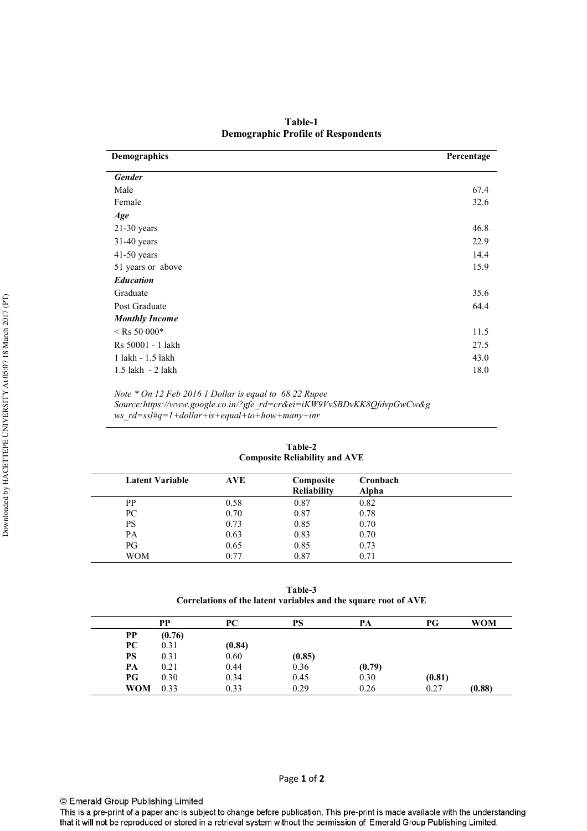Table-1 **Demographic Profile of Respondents** 

| Demographics          | Percentage |
|-----------------------|------------|
| <b>Gender</b>         |            |
| Male                  | 67.4       |
| Female                | 32.6       |
| Age                   |            |
| $21-30$ years         | 46.8       |
| $31-40$ years         | 22.9       |
| $41-50$ years         | 14.4       |
| 51 years or above     | 15.9       |
| <b>Education</b>      |            |
| Graduate              | 35.6       |
| Post Graduate         | 64.4       |
| <b>Monthly Income</b> |            |
| $<$ Rs 50 000*        | 11.5       |
| Rs 50001 - 1 lakh     | 27.5       |
| 1 lakh - 1.5 lakh     | 43.0       |
| 1.5 lakh - 2 lakh     | 18.0       |

*Note \* On 12 Feb 2016 1 Dollar is equal to 68.22 Rupee Source:https://www.google.co.in/?gfe\_rd=cr&ei=iKW9VvSBDvKK8QfdvpGwCw&g ws\_rd=ssl#q=1+dollar+is+equal+to+how+many+inr* 

| <b>Composite Reliability and AVE</b> |            |                                 |                          |  |
|--------------------------------------|------------|---------------------------------|--------------------------|--|
| <b>Latent Variable</b>               | <b>AVE</b> | Composite<br><b>Reliability</b> | Cronbach<br><b>Alpha</b> |  |
| PP                                   | 0.58       | 0.87                            | 0.82                     |  |
| PC                                   | 0.70       | 0.87                            | 0.78                     |  |
| PS                                   | 0.73       | 0.85                            | 0.70                     |  |
| PA                                   | 0.63       | 0.83                            | 0.70                     |  |
| PG                                   | 0.65       | 0.85                            | 0.73                     |  |
| <b>WOM</b>                           | 0.77       | 0.87                            | 0.71                     |  |

Table-2

Table-3 Correlations of the latent variables and the square root of AVE

|            | PP     | PC     | PS     | PА     | PG     | <b>WOM</b> |
|------------|--------|--------|--------|--------|--------|------------|
| <b>PP</b>  | (0.76) |        |        |        |        |            |
| PС         | 0.31   | (0.84) |        |        |        |            |
| PS         | 0.31   | 0.60   | (0.85) |        |        |            |
| PА         | 0.21   | 0.44   | 0.36   | (0.79) |        |            |
| PG         | 0.30   | 0.34   | 0.45   | 0.30   | (0.81) |            |
| <b>WOM</b> | 0.33   | 0.33   | 0.29   | 0.26   | 0.27   | (0.88)     |

This is a pre-print of a paper and is subject to change before publication. This pre-print is made available with the understanding that it will not be reproduced or stored in a retrieval system without the permission of Emerald Group Publishing Limited.

Page **1** of **2**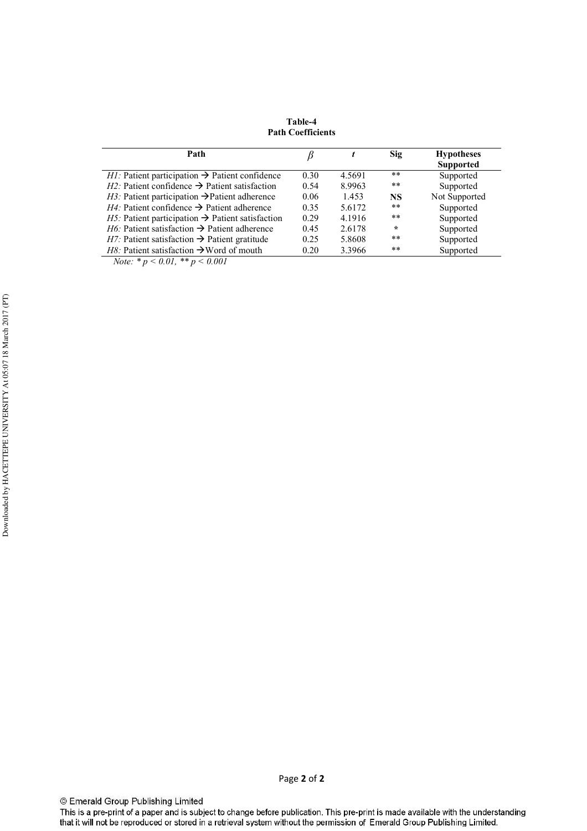Table-4 **Path Coefficients** 

| Path                                                                 |      |        | Sig       | <b>Hypotheses</b><br><b>Supported</b> |
|----------------------------------------------------------------------|------|--------|-----------|---------------------------------------|
| <i>H1</i> : Patient participation $\rightarrow$ Patient confidence   | 0.30 | 4.5691 | **        | Supported                             |
| <i>H2</i> : Patient confidence $\rightarrow$ Patient satisfaction    | 0.54 | 8.9963 | **        | Supported                             |
| <i>H3</i> : Patient participation $\rightarrow$ Patient adherence    | 0.06 | 1.453  | <b>NS</b> | Not Supported                         |
| $H4$ : Patient confidence $\rightarrow$ Patient adherence            | 0.35 | 5.6172 | **        | Supported                             |
| <i>H5</i> : Patient participation $\rightarrow$ Patient satisfaction | 0.29 | 4.1916 | **        | Supported                             |
| <i>H</i> 6: Patient satisfaction $\rightarrow$ Patient adherence     | 0.45 | 2.6178 | $\star$   | Supported                             |
| <i>H7</i> : Patient satisfaction $\rightarrow$ Patient gratitude     | 0.25 | 5.8608 | **        | Supported                             |
| <i>H8</i> : Patient satisfaction $\rightarrow$ Word of mouth         | 0.20 | 3.3966 | **        | Supported                             |

 *Note: \* p < 0.01, \*\* p < 0.001* 

© Emerald Group Publishing Limited

This is a pre-print of a paper and is subject to change before publication. This pre-print is made available with the understanding<br>that it will not be reproduced or stored in a retrieval system without the permission of E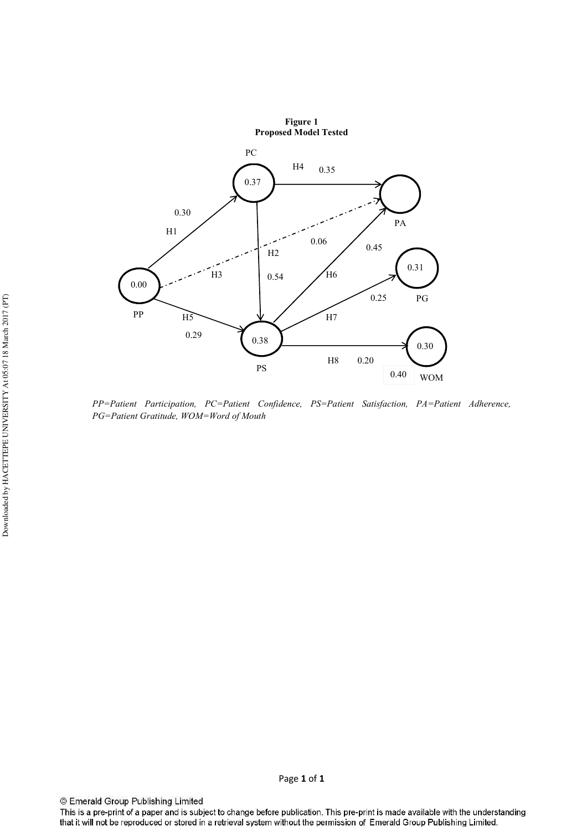

PP=Patient Participation, PC=Patient Confidence, PS=Patient Satisfaction, PA=Patient Adherence, PG=Patient Gratitude, WOM=Word of Mouth

© Emerald Group Publishing Limited

This is a pre-print of a paper and is subject to change before publication. This pre-print is made available with the understanding that it will not be reproduced or stored in a retrieval system without the permission of Emerald Group Publishing Limited.